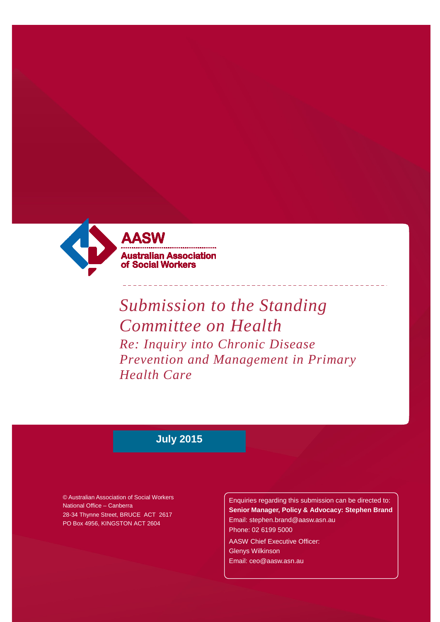

# *Submission to the Standing Committee on Health Re: Inquiry into Chronic Disease Prevention and Management in Primary Health Care*

# **July 2015**

© Australian Association of Social Workers National Office – Canberra 28-34 Thynne Street, BRUCE ACT 2617 PO Box 4956, KINGSTON ACT 2604

Enquiries regarding this submission can be directed to: **Senior Manager, Policy & Advocacy: Stephen Brand** [Email: stephen.brand@aasw.asn.au](mailto:stephen.brand@aasw.asn.au) Phone: 02 6199 5000

AASW Chief Executive Officer: Glenys Wilkinson [Email: ceo@aasw.asn.au](mailto:ceo@aasw.asn.au)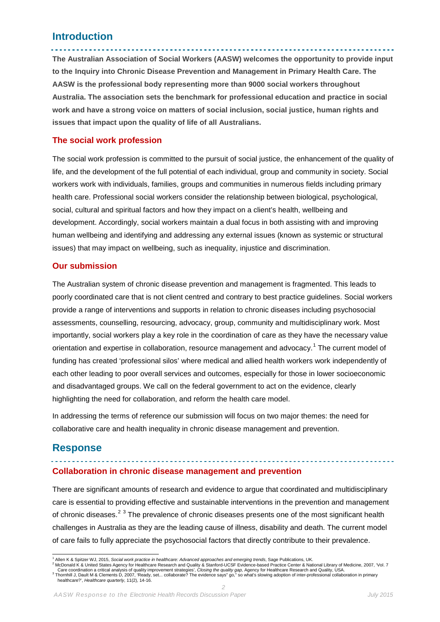# **Introduction**

**The Australian Association of Social Workers (AASW) welcomes the opportunity to provide input to the Inquiry into Chronic Disease Prevention and Management in Primary Health Care. The AASW is the professional body representing more than 9000 social workers throughout Australia. The association sets the benchmark for professional education and practice in social work and have a strong voice on matters of social inclusion, social justice, human rights and issues that impact upon the quality of life of all Australians.** 

#### **The social work profession**

The social work profession is committed to the pursuit of social justice, the enhancement of the quality of life, and the development of the full potential of each individual, group and community in society. Social workers work with individuals, families, groups and communities in numerous fields including primary health care. Professional social workers consider the relationship between biological, psychological, social, cultural and spiritual factors and how they impact on a client's health, wellbeing and development. Accordingly, social workers maintain a dual focus in both assisting with and improving human wellbeing and identifying and addressing any external issues (known as systemic or structural issues) that may impact on wellbeing, such as inequality, injustice and discrimination.

#### **Our submission**

The Australian system of chronic disease prevention and management is fragmented. This leads to poorly coordinated care that is not client centred and contrary to best practice guidelines. Social workers provide a range of interventions and supports in relation to chronic diseases including psychosocial assessments, counselling, resourcing, advocacy, group, community and multidisciplinary work. Most importantly, social workers play a key role in the coordination of care as they have the necessary value orientation and expertise in collaboration, resource management and advocacy.<sup>[1](#page-1-0)</sup> The current model of funding has created 'professional silos' where medical and allied health workers work independently of each other leading to poor overall services and outcomes, especially for those in lower socioeconomic and disadvantaged groups. We call on the federal government to act on the evidence, clearly highlighting the need for collaboration, and reform the health care model.

In addressing the terms of reference our submission will focus on two major themes: the need for collaborative care and health inequality in chronic disease management and prevention.

# **Response**

#### **Collaboration in chronic disease management and prevention**

There are significant amounts of research and evidence to argue that coordinated and multidisciplinary care is essential to providing effective and sustainable interventions in the prevention and management of chronic diseases.<sup>[2](#page-1-1)[3](#page-1-2)</sup> The prevalence of chronic diseases presents one of the most significant health challenges in Australia as they are the leading cause of illness, disability and death. The current model of care fails to fully appreciate the psychosocial factors that directly contribute to their prevalence.

<span id="page-1-2"></span><span id="page-1-1"></span>Care coordination a critical analysis of quality improvement strategies', *Closing the quality gap,* Agency for Healthcare Research and Quality, USA.<br>Thornhill J, Dault M & Clements D, 2007, 'Ready, set... collaborate? The healthcare?', *Healthcare quarterly*, 11(2), 14-16.

*2 AASW Response to the Electronic Health Records Discussion Paper July 2015*

<span id="page-1-0"></span><sup>&</sup>lt;sup>1</sup> Allen K & Spitzer WJ, 2015, Social *work practice in healthcare: Advanced approaches and emerging trends*, Sage Publications, UK.<br><sup>2</sup> McDonald K & United States Agency for Healthcare Research and Quality & Stanford-UCS ÷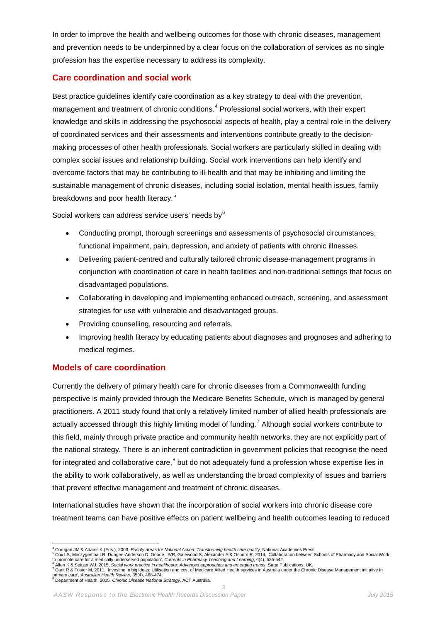In order to improve the health and wellbeing outcomes for those with chronic diseases, management and prevention needs to be underpinned by a clear focus on the collaboration of services as no single profession has the expertise necessary to address its complexity.

#### **Care coordination and social work**

Best practice guidelines identify care coordination as a key strategy to deal with the prevention, management and treatment of chronic conditions.<sup>[4](#page-2-0)</sup> Professional social workers, with their expert knowledge and skills in addressing the psychosocial aspects of health, play a central role in the delivery of coordinated services and their assessments and interventions contribute greatly to the decisionmaking processes of other health professionals. Social workers are particularly skilled in dealing with complex social issues and relationship building. Social work interventions can help identify and overcome factors that may be contributing to ill-health and that may be inhibiting and limiting the sustainable management of chronic diseases, including social isolation, mental health issues, family breakdowns and poor health literacy. [5](#page-2-1)

Social workers can address service users' needs by<sup>[6](#page-2-2)</sup>

- Conducting prompt, thorough screenings and assessments of psychosocial circumstances, functional impairment, pain, depression, and anxiety of patients with chronic illnesses.
- Delivering patient-centred and culturally tailored chronic disease-management programs in conjunction with coordination of care in health facilities and non-traditional settings that focus on disadvantaged populations.
- Collaborating in developing and implementing enhanced outreach, screening, and assessment strategies for use with vulnerable and disadvantaged groups.
- Providing counselling, resourcing and referrals.
- Improving health literacy by educating patients about diagnoses and prognoses and adhering to medical regimes.

#### **Models of care coordination**

Currently the delivery of primary health care for chronic diseases from a Commonwealth funding perspective is mainly provided through the Medicare Benefits Schedule, which is managed by general practitioners. A 2011 study found that only a relatively limited number of allied health professionals are actually accessed through this highly limiting model of funding.<sup>[7](#page-2-3)</sup> Although social workers contribute to this field, mainly through private practice and community health networks, they are not explicitly part of the national strategy. There is an inherent contradiction in government policies that recognise the need for integrated and collaborative care, $^8$  $^8$  but do not adequately fund a profession whose expertise lies in the ability to work collaboratively, as well as understanding the broad complexity of issues and barriers that prevent effective management and treatment of chronic diseases.

International studies have shown that the incorporation of social workers into chronic disease core treatment teams can have positive effects on patient wellbeing and health outcomes leading to reduced

*3*

<sup>&</sup>lt;sup>4</sup> Corrigan JM & Adams K (Eds.), 2003, Priority areas for National Action: Transforming health care quality, National Academies Press.

<span id="page-2-1"></span><span id="page-2-0"></span>s Corrigation and American Scheme And Marchan Account Corrigate and The Scheme Corrigate and Scheme Scheme Scheme Scheme Scheme Scheme Scheme Scheme Scheme Scheme Scheme Scheme Scheme Scheme Scheme Scheme Scheme Scheme Sch

<span id="page-2-2"></span>to promote care for a medically underserved population', *Currents in Pharmacy Teaching and Learning*, 6(4), 535-542.<br><sup>6</sup> Allen K & Spitzer WJ, 2015, *Social work practice in healthcare: Advanced approaches and emerging tr* 

<span id="page-2-4"></span><span id="page-2-3"></span>primary care', *Australian Health Review*, 35(4), 468-474.<br><sup>8</sup> Department of Health, 2005*, Chronic Disease National Strategy*, ACT Australia.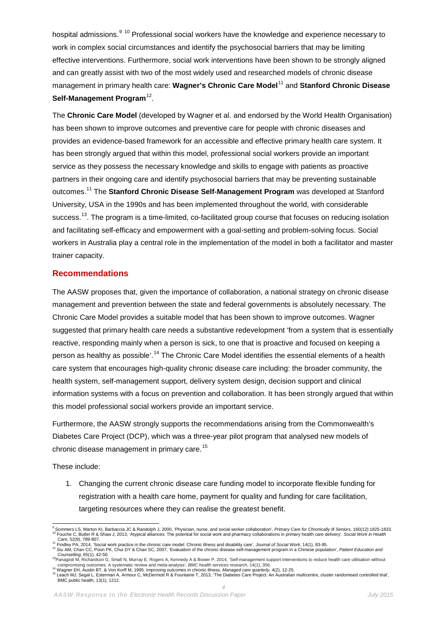hospital admissions.<sup>[9](#page-3-0) [10](#page-3-1)</sup> Professional social workers have the knowledge and experience necessary to work in complex social circumstances and identify the psychosocial barriers that may be limiting effective interventions. Furthermore, social work interventions have been shown to be strongly aligned and can greatly assist with two of the most widely used and researched models of chronic disease management in primary health care: **Wagner's Chronic Care Model**[11](#page-3-2) and **Stanford Chronic Disease Self-Management Program**[12](#page-3-3).

The **Chronic Care Model** (developed by Wagner et al. and endorsed by the World Health Organisation) has been shown to improve outcomes and preventive care for people with chronic diseases and provides an evidence-based framework for an accessible and effective primary health care system. It has been strongly argued that within this model, professional social workers provide an important service as they possess the necessary knowledge and skills to engage with patients as proactive partners in their ongoing care and identify psychosocial barriers that may be preventing sustainable outcomes. <sup>11</sup> The **Stanford Chronic Disease Self-Management Program** was developed at Stanford University, USA in the 1990s and has been implemented throughout the world, with considerable success.<sup>[13](#page-3-4)</sup>. The program is a time-limited, co-facilitated group course that focuses on reducing isolation and facilitating self-efficacy and empowerment with a goal-setting and problem-solving focus. Social workers in Australia play a central role in the implementation of the model in both a facilitator and master trainer capacity.

#### **Recommendations**

The AASW proposes that, given the importance of collaboration, a national strategy on chronic disease management and prevention between the state and federal governments is absolutely necessary. The Chronic Care Model provides a suitable model that has been shown to improve outcomes. Wagner suggested that primary health care needs a substantive redevelopment 'from a system that is essentially reactive, responding mainly when a person is sick, to one that is proactive and focused on keeping a person as healthy as possible'.<sup>[14](#page-3-5)</sup> The Chronic Care Model identifies the essential elements of a health care system that encourages high-quality chronic disease care including: the broader community, the health system, self-management support, delivery system design, decision support and clinical information systems with a focus on prevention and collaboration. It has been strongly argued that within this model professional social workers provide an important service.

Furthermore, the AASW strongly supports the recommendations arising from the Commonwealth's Diabetes Care Project (DCP), which was a three-year pilot program that analysed new models of chronic disease management in primary care. [15](#page-3-6)

These include:

1. Changing the current chronic disease care funding model to incorporate flexible funding for registration with a health care home, payment for quality and funding for care facilitation, targeting resources where they can realise the greatest benefit.

<span id="page-3-1"></span><span id="page-3-0"></span><sup>10</sup> Fouche C, Butler R & Shaw J, 2013, 'Atypical alliances: The potential for social work and pharmacy collaborations in primary health care delivery'. Social Work in Health<br>Care. 52(9). 789-807. 9 Sommers LS, Marton KI, Barbaccia JC & Randolph J, 2000, 'Physician, nurse, and social worker collaboration', Primary Care for Chronically III Seniors, 160(12):1825-1833.

<span id="page-3-3"></span><span id="page-3-2"></span><sup>&</sup>lt;sup>11</sup> Findley PA, 2014, 'Social work practice in the chronic care model: Chronic illness and disability care', Journal of Social Work, 14(1), 83-95.<br><sup>12</sup> Siu AM, Chan CC, Poon PK, Chui DY & Chan SC, 2007, 'Evaluation of the

<span id="page-3-4"></span><sup>&</sup>lt;sup>13</sup>Panagioti M, Richardson G, Small N, Murray E, Rogers A, Kennedy A & Bower P, 2014, 'Self-management support interventions to reduce health care utilisation without

<span id="page-3-6"></span><span id="page-3-5"></span>compromising outcomes: A systematic review and meta-analysis', BMC health services research, 14(1), 356.<br><sup>14</sup> Wagner EH, Austin BT, & Von Korff M, 1995. Improving outcomes in chronic illness. Managed care quarterly, 4(2), BMC public health, 13(1), 1212. *4*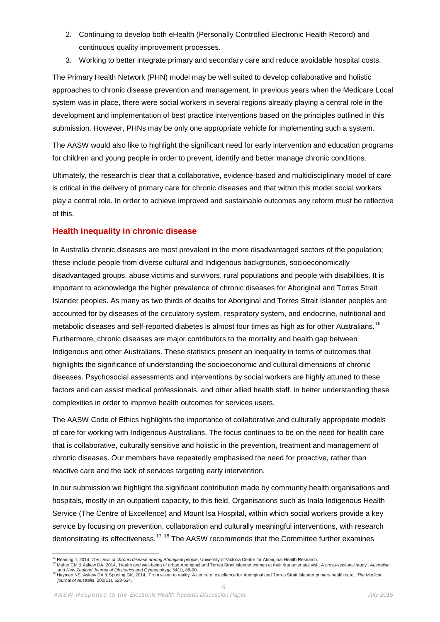- 2. Continuing to develop both eHealth (Personally Controlled Electronic Health Record) and continuous quality improvement processes.
- 3. Working to better integrate primary and secondary care and reduce avoidable hospital costs.

The Primary Health Network (PHN) model may be well suited to develop collaborative and holistic approaches to chronic disease prevention and management. In previous years when the Medicare Local system was in place, there were social workers in several regions already playing a central role in the development and implementation of best practice interventions based on the principles outlined in this submission. However, PHNs may be only one appropriate vehicle for implementing such a system.

The AASW would also like to highlight the significant need for early intervention and education programs for children and young people in order to prevent, identify and better manage chronic conditions.

Ultimately, the research is clear that a collaborative, evidence-based and multidisciplinary model of care is critical in the delivery of primary care for chronic diseases and that within this model social workers play a central role. In order to achieve improved and sustainable outcomes any reform must be reflective of this.

#### **Health inequality in chronic disease**

In Australia chronic diseases are most prevalent in the more disadvantaged sectors of the population; these include people from diverse cultural and Indigenous backgrounds, socioeconomically disadvantaged groups, abuse victims and survivors, rural populations and people with disabilities. It is important to acknowledge the higher prevalence of chronic diseases for Aboriginal and Torres Strait Islander peoples. As many as two thirds of deaths for Aboriginal and Torres Strait Islander peoples are accounted for by diseases of the circulatory system, respiratory system, and endocrine, nutritional and metabolic diseases and self-reported diabetes is almost four times as high as for other Australians. [16](#page-4-0) Furthermore, chronic diseases are major contributors to the mortality and health gap between Indigenous and other Australians. These statistics present an inequality in terms of outcomes that highlights the significance of understanding the socioeconomic and cultural dimensions of chronic diseases. Psychosocial assessments and interventions by social workers are highly attuned to these factors and can assist medical professionals, and other allied health staff, in better understanding these complexities in order to improve health outcomes for services users.

The AASW Code of Ethics highlights the importance of collaborative and culturally appropriate models of care for working with Indigenous Australians. The focus continues to be on the need for health care that is collaborative, culturally sensitive and holistic in the prevention, treatment and management of chronic diseases. Our members have repeatedly emphasised the need for proactive, rather than reactive care and the lack of services targeting early intervention.

In our submission we highlight the significant contribution made by community health organisations and hospitals, mostly in an outpatient capacity, to this field. Organisations such as Inala Indigenous Health Service (The Centre of Excellence) and Mount Isa Hospital, within which social workers provide a key service by focusing on prevention, collaboration and culturally meaningful interventions, with research demonstrating its effectiveness.<sup>[17](#page-4-1)</sup> <sup>[18](#page-4-2)</sup> The AASW recommends that the Committee further examines

<span id="page-4-1"></span><span id="page-4-0"></span><sup>16</sup> Reading J, 2014, The crisis of chronic disease among Aboriginal people, University of Victoria Centre for Aboriginal Health Research.<br><sup>17</sup> Maher CM & Askew DA, 2014, 'Health and well-being of urban Aboriginal and Torr

 $\overline{a}$ 

<span id="page-4-2"></span><sup>&</sup>lt;sup>18</sup> Hayman NE, Askew DA & Spurling GK, 2014, 'From vision to reality: A centre of excellence for Aboriginal and Torres Strait Islander primary health care', The Medical *journal of Australia*, 200(11), 623-624. *5*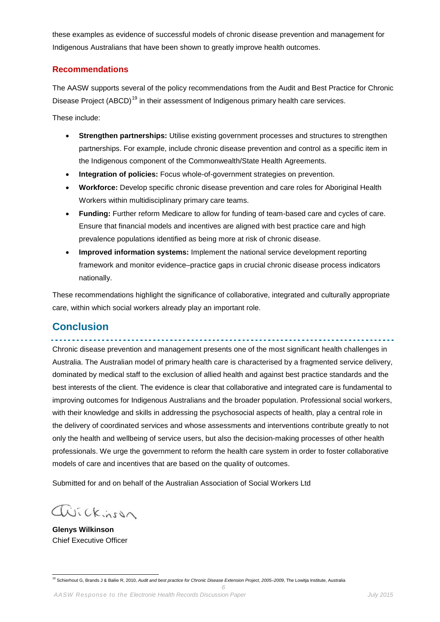these examples as evidence of successful models of chronic disease prevention and management for Indigenous Australians that have been shown to greatly improve health outcomes.

#### **Recommendations**

The AASW supports several of the policy recommendations from the Audit and Best Practice for Chronic Disease Project (ABCD)<sup>[19](#page-5-0)</sup> in their assessment of Indigenous primary health care services.

These include:

- **Strengthen partnerships:** Utilise existing government processes and structures to strengthen partnerships. For example, include chronic disease prevention and control as a specific item in the Indigenous component of the Commonwealth/State Health Agreements.
- **Integration of policies:** Focus whole-of-government strategies on prevention.
- **Workforce:** Develop specific chronic disease prevention and care roles for Aboriginal Health Workers within multidisciplinary primary care teams.
- **Funding:** Further reform Medicare to allow for funding of team-based care and cycles of care. Ensure that financial models and incentives are aligned with best practice care and high prevalence populations identified as being more at risk of chronic disease.
- **Improved information systems:** Implement the national service development reporting framework and monitor evidence–practice gaps in crucial chronic disease process indicators nationally.

These recommendations highlight the significance of collaborative, integrated and culturally appropriate care, within which social workers already play an important role.

# **Conclusion**

Chronic disease prevention and management presents one of the most significant health challenges in Australia. The Australian model of primary health care is characterised by a fragmented service delivery, dominated by medical staff to the exclusion of allied health and against best practice standards and the best interests of the client. The evidence is clear that collaborative and integrated care is fundamental to improving outcomes for Indigenous Australians and the broader population. Professional social workers, with their knowledge and skills in addressing the psychosocial aspects of health, play a central role in the delivery of coordinated services and whose assessments and interventions contribute greatly to not only the health and wellbeing of service users, but also the decision-making processes of other health professionals. We urge the government to reform the health care system in order to foster collaborative models of care and incentives that are based on the quality of outcomes.

Submitted for and on behalf of the Australian Association of Social Workers Ltd

avickinson

**Glenys Wilkinson** Chief Executive Officer

<span id="page-5-0"></span><sup>19</sup> Schierhout G, Brands J & Bailie R, 2010, *Audit and best practice for Chronic Disease Extension Project, 2005–2009*, The Lowitja Institute, Australia

*6*